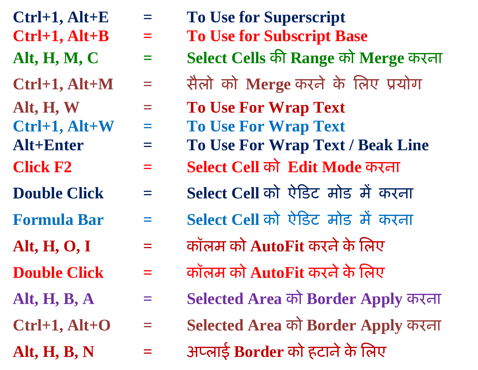- 
- 
- 
- 
- 
- 
- 
- 
- 
- 
- 
- 
- 
- 
- 
- $Ctrl+1, Alt+E = To Use for Superscript$
- **Ctrl+1, Alt+B = To Use for Subscript Base**
- **Alt, H, M, C = Select Cells की Range को Merge करना**
- **Ctrl+1, Alt+M = सैऱो को Merge करने के लऱए प्रयोग**
- **Alt, H, W = To Use For Wrap Text**
- **Ctrl+1, Alt+W = To Use For Wrap Text**
- **Alt+Enter = To Use For Wrap Text / Beak Line**
- **Click F2 = Select Cell को Edit Mode करना**
- **Double Click = Select Cell को ऐडिट मोि में करना**
- **Formula Bar = Select Cell को ऐडिट मोि में करना**
- **Alt, H, O, I = कॉऱम को AutoFit करनेके लऱए**
- **Double Click = कॉऱम को AutoFit करनेके लऱए**
- **Alt, H, B, A = Selected Area को Border Apply करना**
- **Ctrl+1, Alt+O = Selected Area को Border Apply करना**
- **Alt, H, B, N = अप्ऱाई Border को हटानेके लऱए**